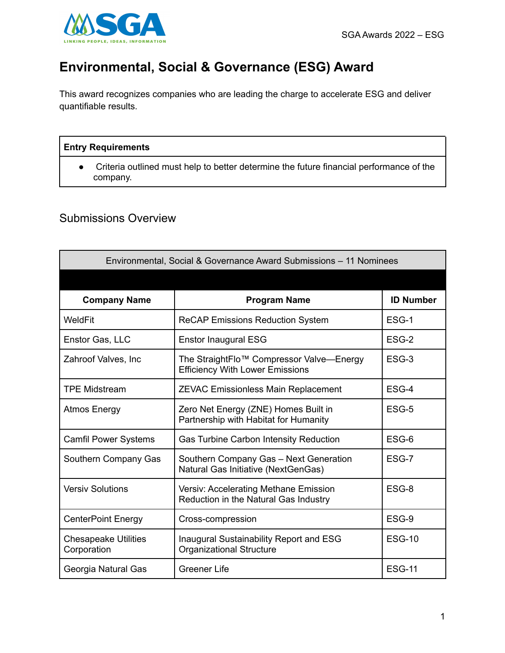

## **Environmental, Social & Governance (ESG) Award**

This award recognizes companies who are leading the charge to accelerate ESG and deliver quantifiable results.

## **Entry Requirements**

● Criteria outlined must help to better determine the future financial performance of the company.

## Submissions Overview

| Environmental, Social & Governance Award Submissions - 11 Nominees |                                                                                                |                  |
|--------------------------------------------------------------------|------------------------------------------------------------------------------------------------|------------------|
|                                                                    |                                                                                                |                  |
| <b>Company Name</b>                                                | <b>Program Name</b>                                                                            | <b>ID Number</b> |
| WeldFit                                                            | <b>ReCAP Emissions Reduction System</b>                                                        | ESG-1            |
| Enstor Gas, LLC                                                    | <b>Enstor Inaugural ESG</b>                                                                    | ESG-2            |
| Zahroof Valves, Inc.                                               | The StraightFlo <sup>™</sup> Compressor Valve—Energy<br><b>Efficiency With Lower Emissions</b> | ESG-3            |
| <b>TPE Midstream</b>                                               | <b>ZEVAC Emissionless Main Replacement</b>                                                     | ESG-4            |
| <b>Atmos Energy</b>                                                | Zero Net Energy (ZNE) Homes Built in<br>Partnership with Habitat for Humanity                  | ESG-5            |
| <b>Camfil Power Systems</b>                                        | Gas Turbine Carbon Intensity Reduction                                                         | ESG-6            |
| Southern Company Gas                                               | Southern Company Gas - Next Generation<br>Natural Gas Initiative (NextGenGas)                  | ESG-7            |
| <b>Versiv Solutions</b>                                            | Versiv: Accelerating Methane Emission<br>Reduction in the Natural Gas Industry                 | ESG-8            |
| <b>CenterPoint Energy</b>                                          | Cross-compression                                                                              | ESG-9            |
| <b>Chesapeake Utilities</b><br>Corporation                         | Inaugural Sustainability Report and ESG<br><b>Organizational Structure</b>                     | <b>ESG-10</b>    |
| Georgia Natural Gas                                                | <b>Greener Life</b>                                                                            | <b>ESG-11</b>    |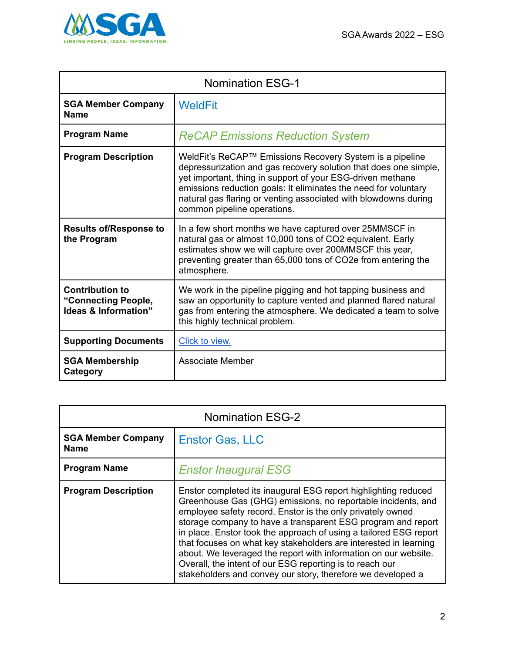

| <b>Nomination ESG-1</b>                                               |                                                                                                                                                                                                                                                                                                                                                                 |
|-----------------------------------------------------------------------|-----------------------------------------------------------------------------------------------------------------------------------------------------------------------------------------------------------------------------------------------------------------------------------------------------------------------------------------------------------------|
| <b>SGA Member Company</b><br><b>Name</b>                              | <b>WeldFit</b>                                                                                                                                                                                                                                                                                                                                                  |
| <b>Program Name</b>                                                   | <b>ReCAP Emissions Reduction System</b>                                                                                                                                                                                                                                                                                                                         |
| <b>Program Description</b>                                            | WeldFit's ReCAP™ Emissions Recovery System is a pipeline<br>depressurization and gas recovery solution that does one simple,<br>yet important, thing in support of your ESG-driven methane<br>emissions reduction goals: It eliminates the need for voluntary<br>natural gas flaring or venting associated with blowdowns during<br>common pipeline operations. |
| <b>Results of/Response to</b><br>the Program                          | In a few short months we have captured over 25MMSCF in<br>natural gas or almost 10,000 tons of CO2 equivalent. Early<br>estimates show we will capture over 200MMSCF this year,<br>preventing greater than 65,000 tons of CO2e from entering the<br>atmosphere.                                                                                                 |
| <b>Contribution to</b><br>"Connecting People,<br>Ideas & Information" | We work in the pipeline pigging and hot tapping business and<br>saw an opportunity to capture vented and planned flared natural<br>gas from entering the atmosphere. We dedicated a team to solve<br>this highly technical problem.                                                                                                                             |
| <b>Supporting Documents</b>                                           | Click to view.                                                                                                                                                                                                                                                                                                                                                  |
| <b>SGA Membership</b><br>Category                                     | <b>Associate Member</b>                                                                                                                                                                                                                                                                                                                                         |

| <b>Nomination ESG-2</b>                  |                                                                                                                                                                                                                                                                                                                                                                                                                                                                                                                                                                                                     |
|------------------------------------------|-----------------------------------------------------------------------------------------------------------------------------------------------------------------------------------------------------------------------------------------------------------------------------------------------------------------------------------------------------------------------------------------------------------------------------------------------------------------------------------------------------------------------------------------------------------------------------------------------------|
| <b>SGA Member Company</b><br><b>Name</b> | <b>Enstor Gas, LLC</b>                                                                                                                                                                                                                                                                                                                                                                                                                                                                                                                                                                              |
| <b>Program Name</b>                      | <b>Enstor Inaugural ESG</b>                                                                                                                                                                                                                                                                                                                                                                                                                                                                                                                                                                         |
| <b>Program Description</b>               | Enstor completed its inaugural ESG report highlighting reduced<br>Greenhouse Gas (GHG) emissions, no reportable incidents, and<br>employee safety record. Enstor is the only privately owned<br>storage company to have a transparent ESG program and report<br>in place. Enstor took the approach of using a tailored ESG report<br>that focuses on what key stakeholders are interested in learning<br>about. We leveraged the report with information on our website.<br>Overall, the intent of our ESG reporting is to reach our<br>stakeholders and convey our story, therefore we developed a |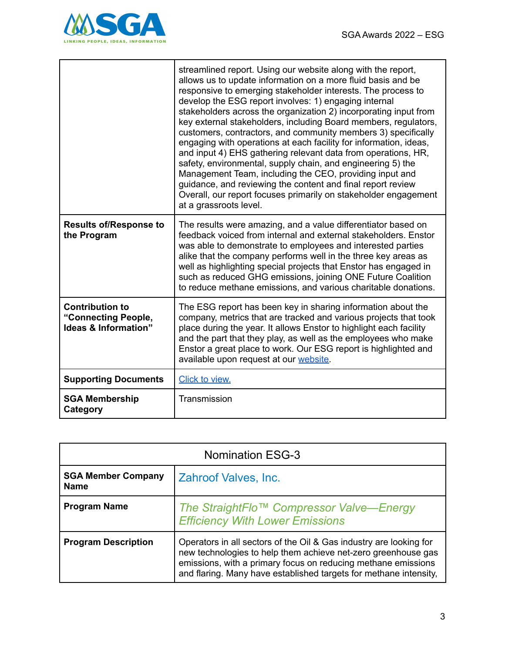

|                                                                       | streamlined report. Using our website along with the report,<br>allows us to update information on a more fluid basis and be<br>responsive to emerging stakeholder interests. The process to<br>develop the ESG report involves: 1) engaging internal<br>stakeholders across the organization 2) incorporating input from<br>key external stakeholders, including Board members, regulators,<br>customers, contractors, and community members 3) specifically<br>engaging with operations at each facility for information, ideas,<br>and input 4) EHS gathering relevant data from operations, HR,<br>safety, environmental, supply chain, and engineering 5) the<br>Management Team, including the CEO, providing input and<br>guidance, and reviewing the content and final report review<br>Overall, our report focuses primarily on stakeholder engagement<br>at a grassroots level. |
|-----------------------------------------------------------------------|-------------------------------------------------------------------------------------------------------------------------------------------------------------------------------------------------------------------------------------------------------------------------------------------------------------------------------------------------------------------------------------------------------------------------------------------------------------------------------------------------------------------------------------------------------------------------------------------------------------------------------------------------------------------------------------------------------------------------------------------------------------------------------------------------------------------------------------------------------------------------------------------|
| <b>Results of/Response to</b><br>the Program                          | The results were amazing, and a value differentiator based on<br>feedback voiced from internal and external stakeholders. Enstor<br>was able to demonstrate to employees and interested parties<br>alike that the company performs well in the three key areas as<br>well as highlighting special projects that Enstor has engaged in<br>such as reduced GHG emissions, joining ONE Future Coalition<br>to reduce methane emissions, and various charitable donations.                                                                                                                                                                                                                                                                                                                                                                                                                    |
| <b>Contribution to</b><br>"Connecting People,<br>Ideas & Information" | The ESG report has been key in sharing information about the<br>company, metrics that are tracked and various projects that took<br>place during the year. It allows Enstor to highlight each facility<br>and the part that they play, as well as the employees who make<br>Enstor a great place to work. Our ESG report is highlighted and<br>available upon request at our website.                                                                                                                                                                                                                                                                                                                                                                                                                                                                                                     |
| <b>Supporting Documents</b>                                           | Click to view.                                                                                                                                                                                                                                                                                                                                                                                                                                                                                                                                                                                                                                                                                                                                                                                                                                                                            |
| <b>SGA Membership</b><br>Category                                     | Transmission                                                                                                                                                                                                                                                                                                                                                                                                                                                                                                                                                                                                                                                                                                                                                                                                                                                                              |

| <b>Nomination ESG-3</b>                  |                                                                                                                                                                                                                                                                           |
|------------------------------------------|---------------------------------------------------------------------------------------------------------------------------------------------------------------------------------------------------------------------------------------------------------------------------|
| <b>SGA Member Company</b><br><b>Name</b> | Zahroof Valves, Inc.                                                                                                                                                                                                                                                      |
| <b>Program Name</b>                      | The StraightFlo™ Compressor Valve-Energy<br><b>Efficiency With Lower Emissions</b>                                                                                                                                                                                        |
| <b>Program Description</b>               | Operators in all sectors of the Oil & Gas industry are looking for<br>new technologies to help them achieve net-zero greenhouse gas<br>emissions, with a primary focus on reducing methane emissions<br>and flaring. Many have established targets for methane intensity, |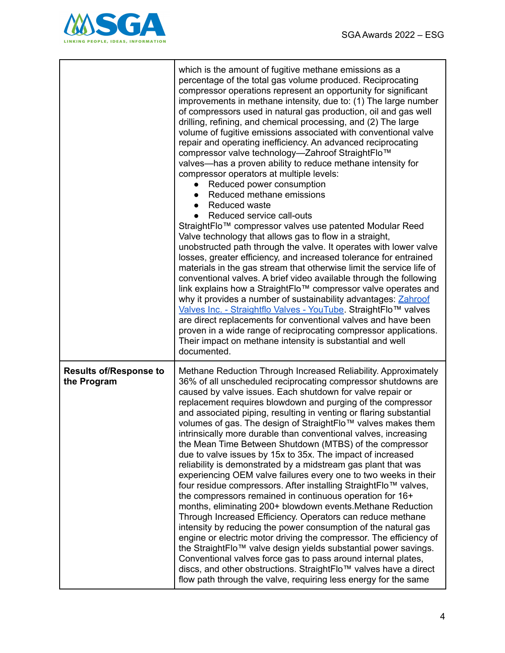

|                                              | which is the amount of fugitive methane emissions as a<br>percentage of the total gas volume produced. Reciprocating<br>compressor operations represent an opportunity for significant<br>improvements in methane intensity, due to: (1) The large number<br>of compressors used in natural gas production, oil and gas well<br>drilling, refining, and chemical processing, and (2) The large<br>volume of fugitive emissions associated with conventional valve<br>repair and operating inefficiency. An advanced reciprocating<br>compressor valve technology-Zahroof StraightFlo™<br>valves—has a proven ability to reduce methane intensity for<br>compressor operators at multiple levels:<br>Reduced power consumption<br>Reduced methane emissions<br>Reduced waste<br>Reduced service call-outs<br>StraightFlo™ compressor valves use patented Modular Reed<br>Valve technology that allows gas to flow in a straight,<br>unobstructed path through the valve. It operates with lower valve<br>losses, greater efficiency, and increased tolerance for entrained<br>materials in the gas stream that otherwise limit the service life of<br>conventional valves. A brief video available through the following<br>link explains how a StraightFlo™ compressor valve operates and<br>why it provides a number of sustainability advantages: Zahroof<br>Valves Inc. - Straightflo Valves - YouTube. StraightFlo™ valves<br>are direct replacements for conventional valves and have been<br>proven in a wide range of reciprocating compressor applications.<br>Their impact on methane intensity is substantial and well<br>documented. |
|----------------------------------------------|-------------------------------------------------------------------------------------------------------------------------------------------------------------------------------------------------------------------------------------------------------------------------------------------------------------------------------------------------------------------------------------------------------------------------------------------------------------------------------------------------------------------------------------------------------------------------------------------------------------------------------------------------------------------------------------------------------------------------------------------------------------------------------------------------------------------------------------------------------------------------------------------------------------------------------------------------------------------------------------------------------------------------------------------------------------------------------------------------------------------------------------------------------------------------------------------------------------------------------------------------------------------------------------------------------------------------------------------------------------------------------------------------------------------------------------------------------------------------------------------------------------------------------------------------------------------------------------------------------------------------------------------------|
| <b>Results of/Response to</b><br>the Program | Methane Reduction Through Increased Reliability. Approximately<br>36% of all unscheduled reciprocating compressor shutdowns are<br>caused by valve issues. Each shutdown for valve repair or<br>replacement requires blowdown and purging of the compressor<br>and associated piping, resulting in venting or flaring substantial<br>volumes of gas. The design of StraightFlo™ valves makes them<br>intrinsically more durable than conventional valves, increasing<br>the Mean Time Between Shutdown (MTBS) of the compressor<br>due to valve issues by 15x to 35x. The impact of increased<br>reliability is demonstrated by a midstream gas plant that was<br>experiencing OEM valve failures every one to two weeks in their<br>four residue compressors. After installing StraightFlo™ valves,<br>the compressors remained in continuous operation for 16+<br>months, eliminating 200+ blowdown events. Methane Reduction<br>Through Increased Efficiency. Operators can reduce methane<br>intensity by reducing the power consumption of the natural gas<br>engine or electric motor driving the compressor. The efficiency of<br>the StraightFlo™ valve design yields substantial power savings.<br>Conventional valves force gas to pass around internal plates,<br>discs, and other obstructions. StraightFlo™ valves have a direct<br>flow path through the valve, requiring less energy for the same                                                                                                                                                                                                                                |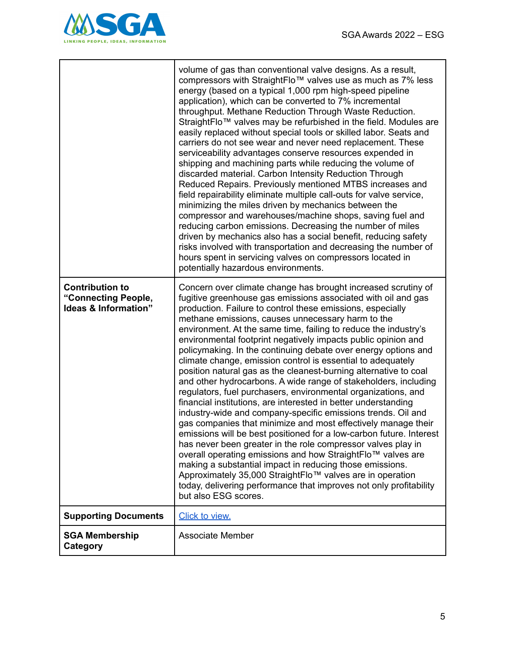

|                                                                       | volume of gas than conventional valve designs. As a result,<br>compressors with StraightFlo™ valves use as much as 7% less<br>energy (based on a typical 1,000 rpm high-speed pipeline<br>application), which can be converted to 7% incremental<br>throughput. Methane Reduction Through Waste Reduction.<br>StraightFlo™ valves may be refurbished in the field. Modules are<br>easily replaced without special tools or skilled labor. Seats and<br>carriers do not see wear and never need replacement. These<br>serviceability advantages conserve resources expended in<br>shipping and machining parts while reducing the volume of<br>discarded material. Carbon Intensity Reduction Through<br>Reduced Repairs. Previously mentioned MTBS increases and<br>field repairability eliminate multiple call-outs for valve service,<br>minimizing the miles driven by mechanics between the<br>compressor and warehouses/machine shops, saving fuel and<br>reducing carbon emissions. Decreasing the number of miles<br>driven by mechanics also has a social benefit, reducing safety<br>risks involved with transportation and decreasing the number of<br>hours spent in servicing valves on compressors located in<br>potentially hazardous environments.                                                                                              |
|-----------------------------------------------------------------------|----------------------------------------------------------------------------------------------------------------------------------------------------------------------------------------------------------------------------------------------------------------------------------------------------------------------------------------------------------------------------------------------------------------------------------------------------------------------------------------------------------------------------------------------------------------------------------------------------------------------------------------------------------------------------------------------------------------------------------------------------------------------------------------------------------------------------------------------------------------------------------------------------------------------------------------------------------------------------------------------------------------------------------------------------------------------------------------------------------------------------------------------------------------------------------------------------------------------------------------------------------------------------------------------------------------------------------------------------------------|
| <b>Contribution to</b><br>"Connecting People,<br>Ideas & Information" | Concern over climate change has brought increased scrutiny of<br>fugitive greenhouse gas emissions associated with oil and gas<br>production. Failure to control these emissions, especially<br>methane emissions, causes unnecessary harm to the<br>environment. At the same time, failing to reduce the industry's<br>environmental footprint negatively impacts public opinion and<br>policymaking. In the continuing debate over energy options and<br>climate change, emission control is essential to adequately<br>position natural gas as the cleanest-burning alternative to coal<br>and other hydrocarbons. A wide range of stakeholders, including<br>regulators, fuel purchasers, environmental organizations, and<br>financial institutions, are interested in better understanding<br>industry-wide and company-specific emissions trends. Oil and<br>gas companies that minimize and most effectively manage their<br>emissions will be best positioned for a low-carbon future. Interest<br>has never been greater in the role compressor valves play in<br>overall operating emissions and how StraightFlo™ valves are<br>making a substantial impact in reducing those emissions.<br>Approximately 35,000 StraightFlo™ valves are in operation<br>today, delivering performance that improves not only profitability<br>but also ESG scores. |
| <b>Supporting Documents</b>                                           | Click to view.                                                                                                                                                                                                                                                                                                                                                                                                                                                                                                                                                                                                                                                                                                                                                                                                                                                                                                                                                                                                                                                                                                                                                                                                                                                                                                                                                 |
| <b>SGA Membership</b><br>Category                                     | <b>Associate Member</b>                                                                                                                                                                                                                                                                                                                                                                                                                                                                                                                                                                                                                                                                                                                                                                                                                                                                                                                                                                                                                                                                                                                                                                                                                                                                                                                                        |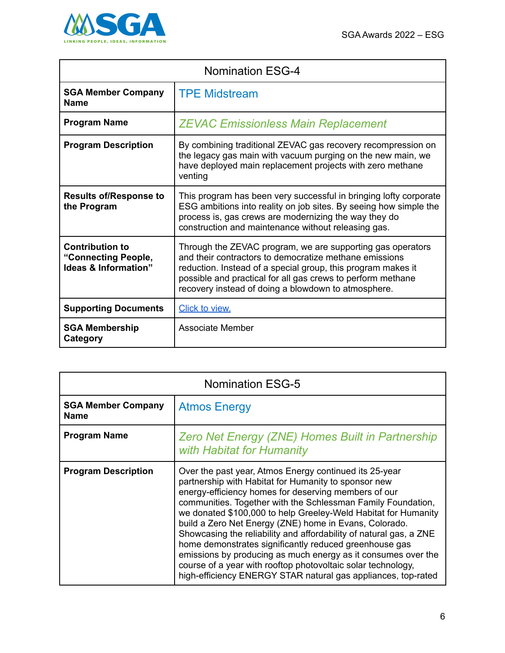

| <b>Nomination ESG-4</b>                                                          |                                                                                                                                                                                                                                                                                                            |
|----------------------------------------------------------------------------------|------------------------------------------------------------------------------------------------------------------------------------------------------------------------------------------------------------------------------------------------------------------------------------------------------------|
| <b>SGA Member Company</b><br><b>Name</b>                                         | <b>TPE Midstream</b>                                                                                                                                                                                                                                                                                       |
| <b>Program Name</b>                                                              | <b>ZEVAC Emissionless Main Replacement</b>                                                                                                                                                                                                                                                                 |
| <b>Program Description</b>                                                       | By combining traditional ZEVAC gas recovery recompression on<br>the legacy gas main with vacuum purging on the new main, we<br>have deployed main replacement projects with zero methane<br>venting                                                                                                        |
| <b>Results of/Response to</b><br>the Program                                     | This program has been very successful in bringing lofty corporate<br>ESG ambitions into reality on job sites. By seeing how simple the<br>process is, gas crews are modernizing the way they do<br>construction and maintenance without releasing gas.                                                     |
| <b>Contribution to</b><br>"Connecting People,<br><b>Ideas &amp; Information"</b> | Through the ZEVAC program, we are supporting gas operators<br>and their contractors to democratize methane emissions<br>reduction. Instead of a special group, this program makes it<br>possible and practical for all gas crews to perform methane<br>recovery instead of doing a blowdown to atmosphere. |
| <b>Supporting Documents</b>                                                      | Click to view.                                                                                                                                                                                                                                                                                             |
| <b>SGA Membership</b><br>Category                                                | Associate Member                                                                                                                                                                                                                                                                                           |

| <b>Nomination ESG-5</b>                  |                                                                                                                                                                                                                                                                                                                                                                                                                                                                                                                                                                                                                                                                                                      |
|------------------------------------------|------------------------------------------------------------------------------------------------------------------------------------------------------------------------------------------------------------------------------------------------------------------------------------------------------------------------------------------------------------------------------------------------------------------------------------------------------------------------------------------------------------------------------------------------------------------------------------------------------------------------------------------------------------------------------------------------------|
| <b>SGA Member Company</b><br><b>Name</b> | <b>Atmos Energy</b>                                                                                                                                                                                                                                                                                                                                                                                                                                                                                                                                                                                                                                                                                  |
| <b>Program Name</b>                      | Zero Net Energy (ZNE) Homes Built in Partnership<br>with Habitat for Humanity                                                                                                                                                                                                                                                                                                                                                                                                                                                                                                                                                                                                                        |
| <b>Program Description</b>               | Over the past year, Atmos Energy continued its 25-year<br>partnership with Habitat for Humanity to sponsor new<br>energy-efficiency homes for deserving members of our<br>communities. Together with the Schlessman Family Foundation,<br>we donated \$100,000 to help Greeley-Weld Habitat for Humanity<br>build a Zero Net Energy (ZNE) home in Evans, Colorado.<br>Showcasing the reliability and affordability of natural gas, a ZNE<br>home demonstrates significantly reduced greenhouse gas<br>emissions by producing as much energy as it consumes over the<br>course of a year with rooftop photovoltaic solar technology,<br>high-efficiency ENERGY STAR natural gas appliances, top-rated |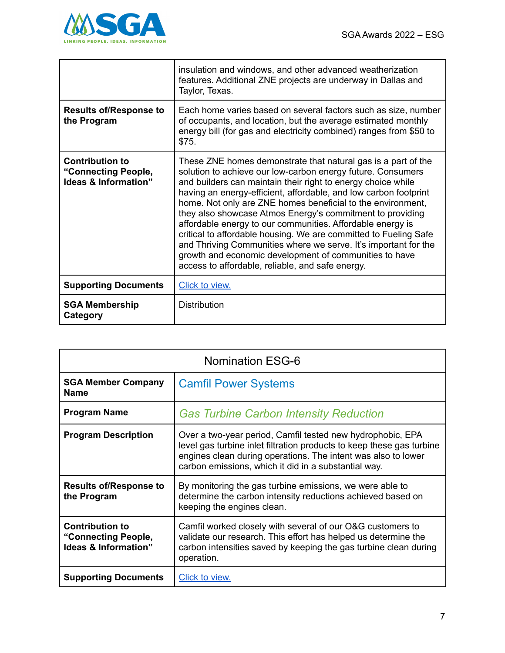

|                                                                                  | insulation and windows, and other advanced weatherization<br>features. Additional ZNE projects are underway in Dallas and<br>Taylor, Texas.                                                                                                                                                                                                                                                                                                                                                                                                                                                                                                                                                                     |
|----------------------------------------------------------------------------------|-----------------------------------------------------------------------------------------------------------------------------------------------------------------------------------------------------------------------------------------------------------------------------------------------------------------------------------------------------------------------------------------------------------------------------------------------------------------------------------------------------------------------------------------------------------------------------------------------------------------------------------------------------------------------------------------------------------------|
| <b>Results of/Response to</b><br>the Program                                     | Each home varies based on several factors such as size, number<br>of occupants, and location, but the average estimated monthly<br>energy bill (for gas and electricity combined) ranges from \$50 to<br>\$75.                                                                                                                                                                                                                                                                                                                                                                                                                                                                                                  |
| <b>Contribution to</b><br>"Connecting People,<br><b>Ideas &amp; Information"</b> | These ZNE homes demonstrate that natural gas is a part of the<br>solution to achieve our low-carbon energy future. Consumers<br>and builders can maintain their right to energy choice while<br>having an energy-efficient, affordable, and low carbon footprint<br>home. Not only are ZNE homes beneficial to the environment,<br>they also showcase Atmos Energy's commitment to providing<br>affordable energy to our communities. Affordable energy is<br>critical to affordable housing. We are committed to Fueling Safe<br>and Thriving Communities where we serve. It's important for the<br>growth and economic development of communities to have<br>access to affordable, reliable, and safe energy. |
| <b>Supporting Documents</b>                                                      | <b>Click to view.</b>                                                                                                                                                                                                                                                                                                                                                                                                                                                                                                                                                                                                                                                                                           |
| <b>SGA Membership</b><br>Category                                                | <b>Distribution</b>                                                                                                                                                                                                                                                                                                                                                                                                                                                                                                                                                                                                                                                                                             |

| <b>Nomination ESG-6</b>                                               |                                                                                                                                                                                                                                                              |
|-----------------------------------------------------------------------|--------------------------------------------------------------------------------------------------------------------------------------------------------------------------------------------------------------------------------------------------------------|
| <b>SGA Member Company</b><br><b>Name</b>                              | <b>Camfil Power Systems</b>                                                                                                                                                                                                                                  |
| <b>Program Name</b>                                                   | <b>Gas Turbine Carbon Intensity Reduction</b>                                                                                                                                                                                                                |
| <b>Program Description</b>                                            | Over a two-year period, Camfil tested new hydrophobic, EPA<br>level gas turbine inlet filtration products to keep these gas turbine<br>engines clean during operations. The intent was also to lower<br>carbon emissions, which it did in a substantial way. |
| <b>Results of/Response to</b><br>the Program                          | By monitoring the gas turbine emissions, we were able to<br>determine the carbon intensity reductions achieved based on<br>keeping the engines clean.                                                                                                        |
| <b>Contribution to</b><br>"Connecting People,<br>Ideas & Information" | Camfil worked closely with several of our O&G customers to<br>validate our research. This effort has helped us determine the<br>carbon intensities saved by keeping the gas turbine clean during<br>operation.                                               |
| <b>Supporting Documents</b>                                           | Click to view.                                                                                                                                                                                                                                               |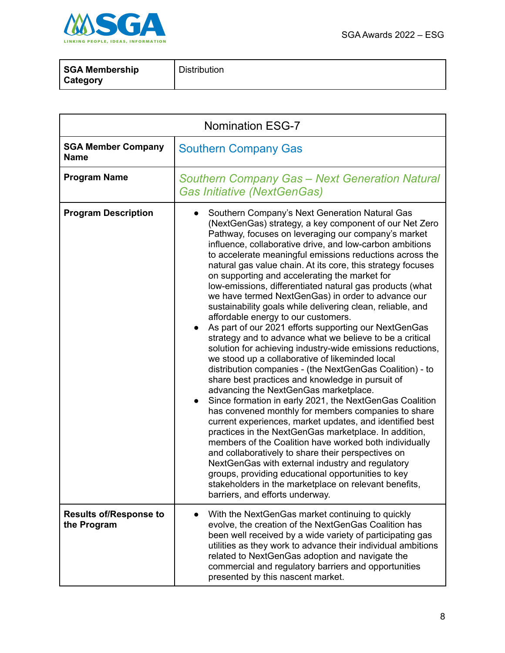



| <b>SGA Membership</b> | <b>Distribution</b> |
|-----------------------|---------------------|
| <b>Category</b>       |                     |

| <b>Nomination ESG-7</b>                      |                                                                                                                                                                                                                                                                                                                                                                                                                                                                                                                                                                                                                                                                                                                                                                                                                                                                                                                                                                                                                                                                                                                                                                                                                                                                                                                                                                                                                                                                                                                                                                                                         |
|----------------------------------------------|---------------------------------------------------------------------------------------------------------------------------------------------------------------------------------------------------------------------------------------------------------------------------------------------------------------------------------------------------------------------------------------------------------------------------------------------------------------------------------------------------------------------------------------------------------------------------------------------------------------------------------------------------------------------------------------------------------------------------------------------------------------------------------------------------------------------------------------------------------------------------------------------------------------------------------------------------------------------------------------------------------------------------------------------------------------------------------------------------------------------------------------------------------------------------------------------------------------------------------------------------------------------------------------------------------------------------------------------------------------------------------------------------------------------------------------------------------------------------------------------------------------------------------------------------------------------------------------------------------|
| <b>SGA Member Company</b><br><b>Name</b>     | <b>Southern Company Gas</b>                                                                                                                                                                                                                                                                                                                                                                                                                                                                                                                                                                                                                                                                                                                                                                                                                                                                                                                                                                                                                                                                                                                                                                                                                                                                                                                                                                                                                                                                                                                                                                             |
| <b>Program Name</b>                          | <b>Southern Company Gas - Next Generation Natural</b><br><b>Gas Initiative (NextGenGas)</b>                                                                                                                                                                                                                                                                                                                                                                                                                                                                                                                                                                                                                                                                                                                                                                                                                                                                                                                                                                                                                                                                                                                                                                                                                                                                                                                                                                                                                                                                                                             |
| <b>Program Description</b>                   | Southern Company's Next Generation Natural Gas<br>(NextGenGas) strategy, a key component of our Net Zero<br>Pathway, focuses on leveraging our company's market<br>influence, collaborative drive, and low-carbon ambitions<br>to accelerate meaningful emissions reductions across the<br>natural gas value chain. At its core, this strategy focuses<br>on supporting and accelerating the market for<br>low-emissions, differentiated natural gas products (what<br>we have termed NextGenGas) in order to advance our<br>sustainability goals while delivering clean, reliable, and<br>affordable energy to our customers.<br>As part of our 2021 efforts supporting our NextGenGas<br>$\bullet$<br>strategy and to advance what we believe to be a critical<br>solution for achieving industry-wide emissions reductions,<br>we stood up a collaborative of likeminded local<br>distribution companies - (the NextGenGas Coalition) - to<br>share best practices and knowledge in pursuit of<br>advancing the NextGenGas marketplace.<br>Since formation in early 2021, the NextGenGas Coalition<br>has convened monthly for members companies to share<br>current experiences, market updates, and identified best<br>practices in the NextGenGas marketplace. In addition,<br>members of the Coalition have worked both individually<br>and collaboratively to share their perspectives on<br>NextGenGas with external industry and regulatory<br>groups, providing educational opportunities to key<br>stakeholders in the marketplace on relevant benefits,<br>barriers, and efforts underway. |
| <b>Results of/Response to</b><br>the Program | With the NextGenGas market continuing to quickly<br>evolve, the creation of the NextGenGas Coalition has<br>been well received by a wide variety of participating gas<br>utilities as they work to advance their individual ambitions<br>related to NextGenGas adoption and navigate the<br>commercial and regulatory barriers and opportunities<br>presented by this nascent market.                                                                                                                                                                                                                                                                                                                                                                                                                                                                                                                                                                                                                                                                                                                                                                                                                                                                                                                                                                                                                                                                                                                                                                                                                   |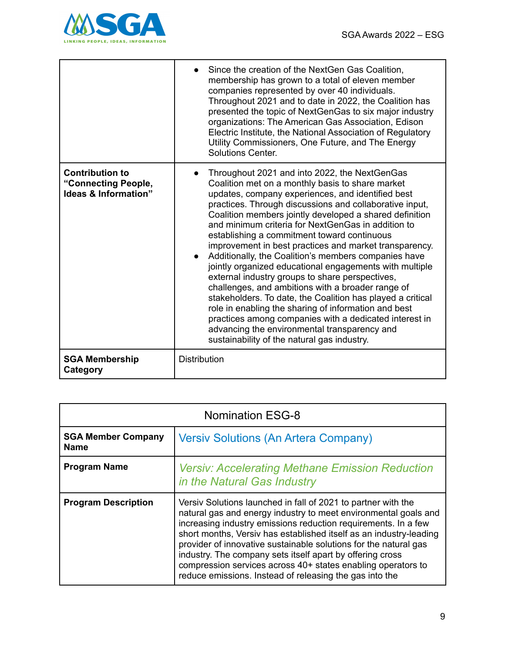

|                                                                       | Since the creation of the NextGen Gas Coalition,<br>membership has grown to a total of eleven member<br>companies represented by over 40 individuals.<br>Throughout 2021 and to date in 2022, the Coalition has<br>presented the topic of NextGenGas to six major industry<br>organizations: The American Gas Association, Edison<br>Electric Institute, the National Association of Regulatory<br>Utility Commissioners, One Future, and The Energy<br>Solutions Center.                                                                                                                                                                                                                                                                                                                                                                                                                                                                                          |
|-----------------------------------------------------------------------|--------------------------------------------------------------------------------------------------------------------------------------------------------------------------------------------------------------------------------------------------------------------------------------------------------------------------------------------------------------------------------------------------------------------------------------------------------------------------------------------------------------------------------------------------------------------------------------------------------------------------------------------------------------------------------------------------------------------------------------------------------------------------------------------------------------------------------------------------------------------------------------------------------------------------------------------------------------------|
| <b>Contribution to</b><br>"Connecting People,<br>Ideas & Information" | Throughout 2021 and into 2022, the NextGenGas<br>$\bullet$<br>Coalition met on a monthly basis to share market<br>updates, company experiences, and identified best<br>practices. Through discussions and collaborative input,<br>Coalition members jointly developed a shared definition<br>and minimum criteria for NextGenGas in addition to<br>establishing a commitment toward continuous<br>improvement in best practices and market transparency.<br>Additionally, the Coalition's members companies have<br>jointly organized educational engagements with multiple<br>external industry groups to share perspectives,<br>challenges, and ambitions with a broader range of<br>stakeholders. To date, the Coalition has played a critical<br>role in enabling the sharing of information and best<br>practices among companies with a dedicated interest in<br>advancing the environmental transparency and<br>sustainability of the natural gas industry. |
| <b>SGA Membership</b><br>Category                                     | <b>Distribution</b>                                                                                                                                                                                                                                                                                                                                                                                                                                                                                                                                                                                                                                                                                                                                                                                                                                                                                                                                                |

| <b>Nomination ESG-8</b>                  |                                                                                                                                                                                                                                                                                                                                                                                                                                                                                                                                      |
|------------------------------------------|--------------------------------------------------------------------------------------------------------------------------------------------------------------------------------------------------------------------------------------------------------------------------------------------------------------------------------------------------------------------------------------------------------------------------------------------------------------------------------------------------------------------------------------|
| <b>SGA Member Company</b><br><b>Name</b> | <b>Versiv Solutions (An Artera Company)</b>                                                                                                                                                                                                                                                                                                                                                                                                                                                                                          |
| <b>Program Name</b>                      | <b>Versiv: Accelerating Methane Emission Reduction</b><br>in the Natural Gas Industry                                                                                                                                                                                                                                                                                                                                                                                                                                                |
| <b>Program Description</b>               | Versiv Solutions launched in fall of 2021 to partner with the<br>natural gas and energy industry to meet environmental goals and<br>increasing industry emissions reduction requirements. In a few<br>short months, Versiv has established itself as an industry-leading<br>provider of innovative sustainable solutions for the natural gas<br>industry. The company sets itself apart by offering cross<br>compression services across 40+ states enabling operators to<br>reduce emissions. Instead of releasing the gas into the |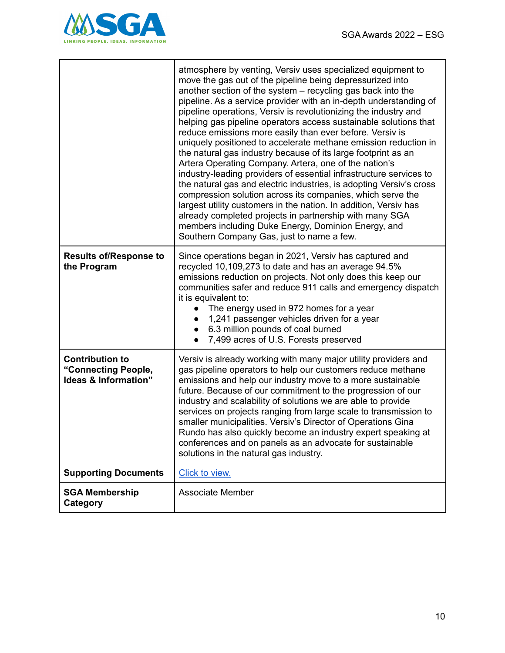

|                                                                       | atmosphere by venting, Versiv uses specialized equipment to<br>move the gas out of the pipeline being depressurized into<br>another section of the system – recycling gas back into the<br>pipeline. As a service provider with an in-depth understanding of<br>pipeline operations, Versiv is revolutionizing the industry and<br>helping gas pipeline operators access sustainable solutions that<br>reduce emissions more easily than ever before. Versiv is<br>uniquely positioned to accelerate methane emission reduction in<br>the natural gas industry because of its large footprint as an<br>Artera Operating Company. Artera, one of the nation's<br>industry-leading providers of essential infrastructure services to<br>the natural gas and electric industries, is adopting Versiv's cross<br>compression solution across its companies, which serve the<br>largest utility customers in the nation. In addition, Versiv has<br>already completed projects in partnership with many SGA<br>members including Duke Energy, Dominion Energy, and<br>Southern Company Gas, just to name a few. |
|-----------------------------------------------------------------------|------------------------------------------------------------------------------------------------------------------------------------------------------------------------------------------------------------------------------------------------------------------------------------------------------------------------------------------------------------------------------------------------------------------------------------------------------------------------------------------------------------------------------------------------------------------------------------------------------------------------------------------------------------------------------------------------------------------------------------------------------------------------------------------------------------------------------------------------------------------------------------------------------------------------------------------------------------------------------------------------------------------------------------------------------------------------------------------------------------|
| <b>Results of/Response to</b><br>the Program                          | Since operations began in 2021, Versiv has captured and<br>recycled 10,109,273 to date and has an average 94.5%<br>emissions reduction on projects. Not only does this keep our<br>communities safer and reduce 911 calls and emergency dispatch<br>it is equivalent to:<br>The energy used in 972 homes for a year<br>1,241 passenger vehicles driven for a year<br>6.3 million pounds of coal burned<br>$\bullet$<br>7,499 acres of U.S. Forests preserved<br>$\bullet$                                                                                                                                                                                                                                                                                                                                                                                                                                                                                                                                                                                                                                  |
| <b>Contribution to</b><br>"Connecting People,<br>Ideas & Information" | Versiv is already working with many major utility providers and<br>gas pipeline operators to help our customers reduce methane<br>emissions and help our industry move to a more sustainable<br>future. Because of our commitment to the progression of our<br>industry and scalability of solutions we are able to provide<br>services on projects ranging from large scale to transmission to<br>smaller municipalities. Versiv's Director of Operations Gina<br>Rundo has also quickly become an industry expert speaking at<br>conferences and on panels as an advocate for sustainable<br>solutions in the natural gas industry.                                                                                                                                                                                                                                                                                                                                                                                                                                                                      |
| <b>Supporting Documents</b>                                           | Click to view.                                                                                                                                                                                                                                                                                                                                                                                                                                                                                                                                                                                                                                                                                                                                                                                                                                                                                                                                                                                                                                                                                             |
| <b>SGA Membership</b><br>Category                                     | <b>Associate Member</b>                                                                                                                                                                                                                                                                                                                                                                                                                                                                                                                                                                                                                                                                                                                                                                                                                                                                                                                                                                                                                                                                                    |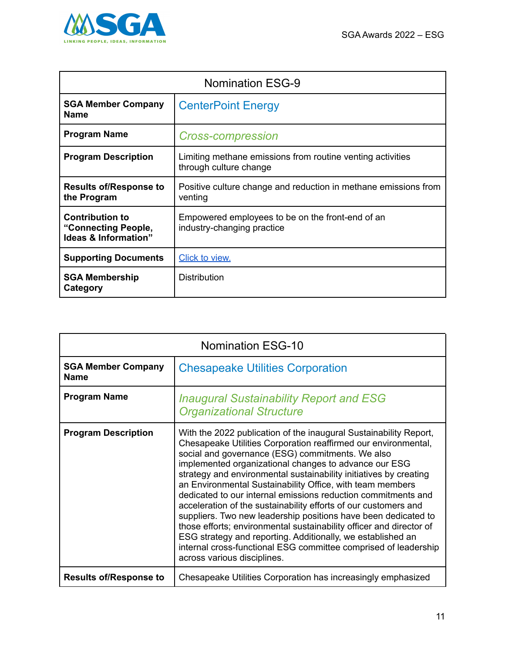

| <b>Nomination ESG-9</b>                                               |                                                                                      |
|-----------------------------------------------------------------------|--------------------------------------------------------------------------------------|
| <b>SGA Member Company</b><br><b>Name</b>                              | <b>CenterPoint Energy</b>                                                            |
| <b>Program Name</b>                                                   | <b>Cross-compression</b>                                                             |
| <b>Program Description</b>                                            | Limiting methane emissions from routine venting activities<br>through culture change |
| <b>Results of/Response to</b><br>the Program                          | Positive culture change and reduction in methane emissions from<br>venting           |
| <b>Contribution to</b><br>"Connecting People,<br>Ideas & Information" | Empowered employees to be on the front-end of an<br>industry-changing practice       |
| <b>Supporting Documents</b>                                           | Click to view.                                                                       |
| <b>SGA Membership</b><br>Category                                     | <b>Distribution</b>                                                                  |

| <b>Nomination ESG-10</b>                 |                                                                                                                                                                                                                                                                                                                                                                                                                                                                                                                                                                                                                                                                                                                                                                                                                                  |
|------------------------------------------|----------------------------------------------------------------------------------------------------------------------------------------------------------------------------------------------------------------------------------------------------------------------------------------------------------------------------------------------------------------------------------------------------------------------------------------------------------------------------------------------------------------------------------------------------------------------------------------------------------------------------------------------------------------------------------------------------------------------------------------------------------------------------------------------------------------------------------|
| <b>SGA Member Company</b><br><b>Name</b> | <b>Chesapeake Utilities Corporation</b>                                                                                                                                                                                                                                                                                                                                                                                                                                                                                                                                                                                                                                                                                                                                                                                          |
| <b>Program Name</b>                      | <b>Inaugural Sustainability Report and ESG</b><br><b>Organizational Structure</b>                                                                                                                                                                                                                                                                                                                                                                                                                                                                                                                                                                                                                                                                                                                                                |
| <b>Program Description</b>               | With the 2022 publication of the inaugural Sustainability Report,<br>Chesapeake Utilities Corporation reaffirmed our environmental,<br>social and governance (ESG) commitments. We also<br>implemented organizational changes to advance our ESG<br>strategy and environmental sustainability initiatives by creating<br>an Environmental Sustainability Office, with team members<br>dedicated to our internal emissions reduction commitments and<br>acceleration of the sustainability efforts of our customers and<br>suppliers. Two new leadership positions have been dedicated to<br>those efforts; environmental sustainability officer and director of<br>ESG strategy and reporting. Additionally, we established an<br>internal cross-functional ESG committee comprised of leadership<br>across various disciplines. |
| <b>Results of/Response to</b>            | Chesapeake Utilities Corporation has increasingly emphasized                                                                                                                                                                                                                                                                                                                                                                                                                                                                                                                                                                                                                                                                                                                                                                     |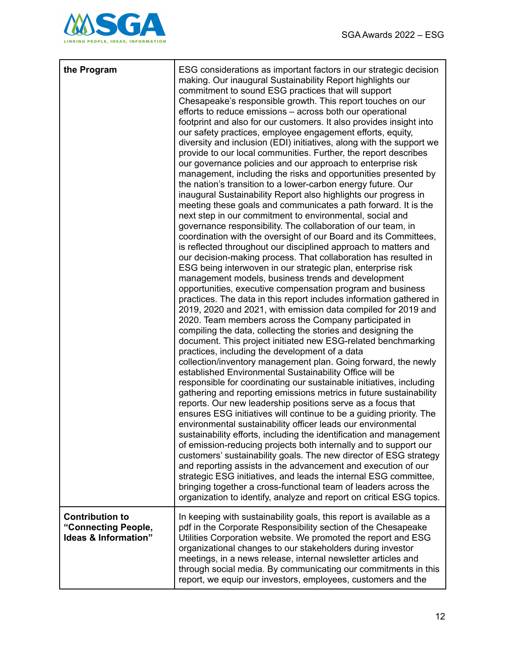

| the Program                                                           | ESG considerations as important factors in our strategic decision<br>making. Our inaugural Sustainability Report highlights our<br>commitment to sound ESG practices that will support<br>Chesapeake's responsible growth. This report touches on our<br>efforts to reduce emissions – across both our operational<br>footprint and also for our customers. It also provides insight into<br>our safety practices, employee engagement efforts, equity,<br>diversity and inclusion (EDI) initiatives, along with the support we<br>provide to our local communities. Further, the report describes<br>our governance policies and our approach to enterprise risk<br>management, including the risks and opportunities presented by<br>the nation's transition to a lower-carbon energy future. Our<br>inaugural Sustainability Report also highlights our progress in<br>meeting these goals and communicates a path forward. It is the<br>next step in our commitment to environmental, social and<br>governance responsibility. The collaboration of our team, in<br>coordination with the oversight of our Board and its Committees,<br>is reflected throughout our disciplined approach to matters and<br>our decision-making process. That collaboration has resulted in<br>ESG being interwoven in our strategic plan, enterprise risk<br>management models, business trends and development<br>opportunities, executive compensation program and business<br>practices. The data in this report includes information gathered in<br>2019, 2020 and 2021, with emission data compiled for 2019 and<br>2020. Team members across the Company participated in<br>compiling the data, collecting the stories and designing the<br>document. This project initiated new ESG-related benchmarking<br>practices, including the development of a data<br>collection/inventory management plan. Going forward, the newly<br>established Environmental Sustainability Office will be<br>responsible for coordinating our sustainable initiatives, including<br>gathering and reporting emissions metrics in future sustainability<br>reports. Our new leadership positions serve as a focus that<br>ensures ESG initiatives will continue to be a guiding priority. The<br>environmental sustainability officer leads our environmental<br>sustainability efforts, including the identification and management<br>of emission-reducing projects both internally and to support our<br>customers' sustainability goals. The new director of ESG strategy<br>and reporting assists in the advancement and execution of our<br>strategic ESG initiatives, and leads the internal ESG committee,<br>bringing together a cross-functional team of leaders across the<br>organization to identify, analyze and report on critical ESG topics. |
|-----------------------------------------------------------------------|---------------------------------------------------------------------------------------------------------------------------------------------------------------------------------------------------------------------------------------------------------------------------------------------------------------------------------------------------------------------------------------------------------------------------------------------------------------------------------------------------------------------------------------------------------------------------------------------------------------------------------------------------------------------------------------------------------------------------------------------------------------------------------------------------------------------------------------------------------------------------------------------------------------------------------------------------------------------------------------------------------------------------------------------------------------------------------------------------------------------------------------------------------------------------------------------------------------------------------------------------------------------------------------------------------------------------------------------------------------------------------------------------------------------------------------------------------------------------------------------------------------------------------------------------------------------------------------------------------------------------------------------------------------------------------------------------------------------------------------------------------------------------------------------------------------------------------------------------------------------------------------------------------------------------------------------------------------------------------------------------------------------------------------------------------------------------------------------------------------------------------------------------------------------------------------------------------------------------------------------------------------------------------------------------------------------------------------------------------------------------------------------------------------------------------------------------------------------------------------------------------------------------------------------------------------------------------------------------------------------------------------------------------------------------------------------------------------------------------------------------------------------------------------------------------------------------------------|
| <b>Contribution to</b><br>"Connecting People,<br>Ideas & Information" | In keeping with sustainability goals, this report is available as a<br>pdf in the Corporate Responsibility section of the Chesapeake<br>Utilities Corporation website. We promoted the report and ESG<br>organizational changes to our stakeholders during investor<br>meetings, in a news release, internal newsletter articles and<br>through social media. By communicating our commitments in this<br>report, we equip our investors, employees, customers and the                                                                                                                                                                                                                                                                                                                                                                                                                                                                                                                                                                                                                                                                                                                                                                                                                                                                                                                                                                                                                                                                                                                                                                                                                                                                                                                                                                                                                                                                                                                                                                                                                                                                                                                                                                                                                                                                                                                                                                                                                                                                                                                                                                                                                                                                                                                                                                |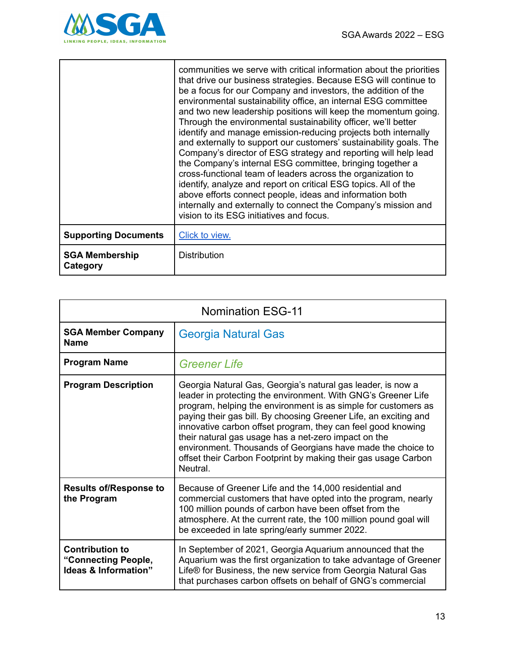

|                                   | communities we serve with critical information about the priorities<br>that drive our business strategies. Because ESG will continue to<br>be a focus for our Company and investors, the addition of the<br>environmental sustainability office, an internal ESG committee<br>and two new leadership positions will keep the momentum going.<br>Through the environmental sustainability officer, we'll better<br>identify and manage emission-reducing projects both internally<br>and externally to support our customers' sustainability goals. The<br>Company's director of ESG strategy and reporting will help lead<br>the Company's internal ESG committee, bringing together a<br>cross-functional team of leaders across the organization to<br>identify, analyze and report on critical ESG topics. All of the<br>above efforts connect people, ideas and information both<br>internally and externally to connect the Company's mission and<br>vision to its ESG initiatives and focus. |
|-----------------------------------|----------------------------------------------------------------------------------------------------------------------------------------------------------------------------------------------------------------------------------------------------------------------------------------------------------------------------------------------------------------------------------------------------------------------------------------------------------------------------------------------------------------------------------------------------------------------------------------------------------------------------------------------------------------------------------------------------------------------------------------------------------------------------------------------------------------------------------------------------------------------------------------------------------------------------------------------------------------------------------------------------|
| <b>Supporting Documents</b>       | Click to view.                                                                                                                                                                                                                                                                                                                                                                                                                                                                                                                                                                                                                                                                                                                                                                                                                                                                                                                                                                                     |
| <b>SGA Membership</b><br>Category | <b>Distribution</b>                                                                                                                                                                                                                                                                                                                                                                                                                                                                                                                                                                                                                                                                                                                                                                                                                                                                                                                                                                                |

| <b>Nomination ESG-11</b>                                              |                                                                                                                                                                                                                                                                                                                                                                                                                                                                                                                                         |
|-----------------------------------------------------------------------|-----------------------------------------------------------------------------------------------------------------------------------------------------------------------------------------------------------------------------------------------------------------------------------------------------------------------------------------------------------------------------------------------------------------------------------------------------------------------------------------------------------------------------------------|
| <b>SGA Member Company</b><br><b>Name</b>                              | Georgia Natural Gas                                                                                                                                                                                                                                                                                                                                                                                                                                                                                                                     |
| <b>Program Name</b>                                                   | <b>Greener Life</b>                                                                                                                                                                                                                                                                                                                                                                                                                                                                                                                     |
| <b>Program Description</b>                                            | Georgia Natural Gas, Georgia's natural gas leader, is now a<br>leader in protecting the environment. With GNG's Greener Life<br>program, helping the environment is as simple for customers as<br>paying their gas bill. By choosing Greener Life, an exciting and<br>innovative carbon offset program, they can feel good knowing<br>their natural gas usage has a net-zero impact on the<br>environment. Thousands of Georgians have made the choice to<br>offset their Carbon Footprint by making their gas usage Carbon<br>Neutral. |
| <b>Results of/Response to</b><br>the Program                          | Because of Greener Life and the 14,000 residential and<br>commercial customers that have opted into the program, nearly<br>100 million pounds of carbon have been offset from the<br>atmosphere. At the current rate, the 100 million pound goal will<br>be exceeded in late spring/early summer 2022.                                                                                                                                                                                                                                  |
| <b>Contribution to</b><br>"Connecting People,<br>Ideas & Information" | In September of 2021, Georgia Aquarium announced that the<br>Aquarium was the first organization to take advantage of Greener<br>Life® for Business, the new service from Georgia Natural Gas<br>that purchases carbon offsets on behalf of GNG's commercial                                                                                                                                                                                                                                                                            |